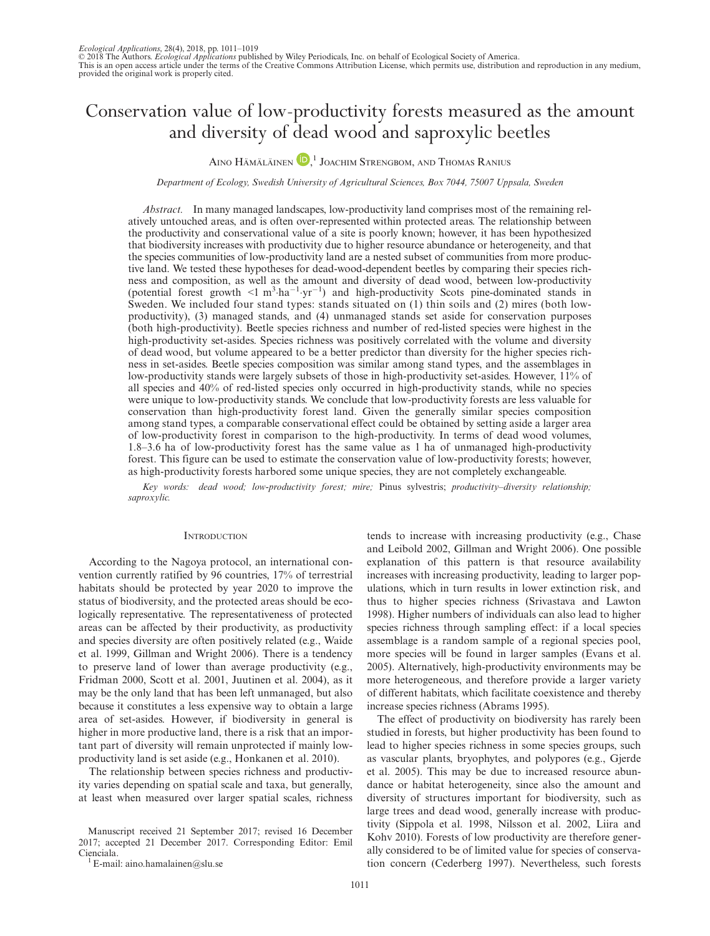# Conservation value of low-productivity forests measured as the amount and diversity of dead wood and saproxylic beetles

AI[N](http://orcid.org/0000-0003-0951-2662)O HÄMÄLÄINEN  $\mathbb{D},^1$  Joachim Strengbom, and Thomas Ranius

Department of Ecology, Swedish University of Agricultural Sciences, Box 7044, 75007 Uppsala, Sweden

Abstract. In many managed landscapes, low-productivity land comprises most of the remaining relatively untouched areas, and is often over-represented within protected areas. The relationship between the productivity and conservational value of a site is poorly known; however, it has been hypothesized that biodiversity increases with productivity due to higher resource abundance or heterogeneity, and that the species communities of low-productivity land are a nested subset of communities from more productive land. We tested these hypotheses for dead-wood-dependent beetles by comparing their species richness and composition, as well as the amount and diversity of dead wood, between low-productivity (potential forest growth  $\leq 1 \text{ m}^3 \text{ ha}^{-1} \text{ yr}^{-1}$ ) and high-productivity Scots pine-dominated stands in Sweden. We included four stand types: stands situated on (1) thin soils and (2) mires (both lowproductivity), (3) managed stands, and (4) unmanaged stands set aside for conservation purposes (both high-productivity). Beetle species richness and number of red-listed species were highest in the high-productivity set-asides. Species richness was positively correlated with the volume and diversity of dead wood, but volume appeared to be a better predictor than diversity for the higher species richness in set-asides. Beetle species composition was similar among stand types, and the assemblages in low-productivity stands were largely subsets of those in high-productivity set-asides. However, 11% of all species and 40% of red-listed species only occurred in high-productivity stands, while no species were unique to low-productivity stands. We conclude that low-productivity forests are less valuable for conservation than high-productivity forest land. Given the generally similar species composition among stand types, a comparable conservational effect could be obtained by setting aside a larger area of low-productivity forest in comparison to the high-productivity. In terms of dead wood volumes, 1.8–3.6 ha of low-productivity forest has the same value as 1 ha of unmanaged high-productivity forest. This figure can be used to estimate the conservation value of low-productivity forests; however, as high-productivity forests harbored some unique species, they are not completely exchangeable.

Key words: dead wood; low-productivity forest; mire; Pinus sylvestris; productivity–diversity relationship; saproxylic.

## **INTRODUCTION**

According to the Nagoya protocol, an international convention currently ratified by 96 countries, 17% of terrestrial habitats should be protected by year 2020 to improve the status of biodiversity, and the protected areas should be ecologically representative. The representativeness of protected areas can be affected by their productivity, as productivity and species diversity are often positively related (e.g., Waide et al. 1999, Gillman and Wright 2006). There is a tendency to preserve land of lower than average productivity (e.g., Fridman 2000, Scott et al. 2001, Juutinen et al. 2004), as it may be the only land that has been left unmanaged, but also because it constitutes a less expensive way to obtain a large area of set-asides. However, if biodiversity in general is higher in more productive land, there is a risk that an important part of diversity will remain unprotected if mainly lowproductivity land is set aside (e.g., Honkanen et al. 2010).

The relationship between species richness and productivity varies depending on spatial scale and taxa, but generally, at least when measured over larger spatial scales, richness

Manuscript received 21 September 2017; revised 16 December 2017; accepted 21 December 2017. Corresponding Editor: Emil Cienciala.<br><sup>1</sup> E-mail: aino.hamalainen@slu.se

tends to increase with increasing productivity (e.g., Chase and Leibold 2002, Gillman and Wright 2006). One possible explanation of this pattern is that resource availability increases with increasing productivity, leading to larger populations, which in turn results in lower extinction risk, and thus to higher species richness (Srivastava and Lawton 1998). Higher numbers of individuals can also lead to higher species richness through sampling effect: if a local species assemblage is a random sample of a regional species pool, more species will be found in larger samples (Evans et al. 2005). Alternatively, high-productivity environments may be more heterogeneous, and therefore provide a larger variety of different habitats, which facilitate coexistence and thereby increase species richness (Abrams 1995).

The effect of productivity on biodiversity has rarely been studied in forests, but higher productivity has been found to lead to higher species richness in some species groups, such as vascular plants, bryophytes, and polypores (e.g., Gjerde et al. 2005). This may be due to increased resource abundance or habitat heterogeneity, since also the amount and diversity of structures important for biodiversity, such as large trees and dead wood, generally increase with productivity (Sippola et al. 1998, Nilsson et al. 2002, Liira and Kohv 2010). Forests of low productivity are therefore generally considered to be of limited value for species of conservation concern (Cederberg 1997). Nevertheless, such forests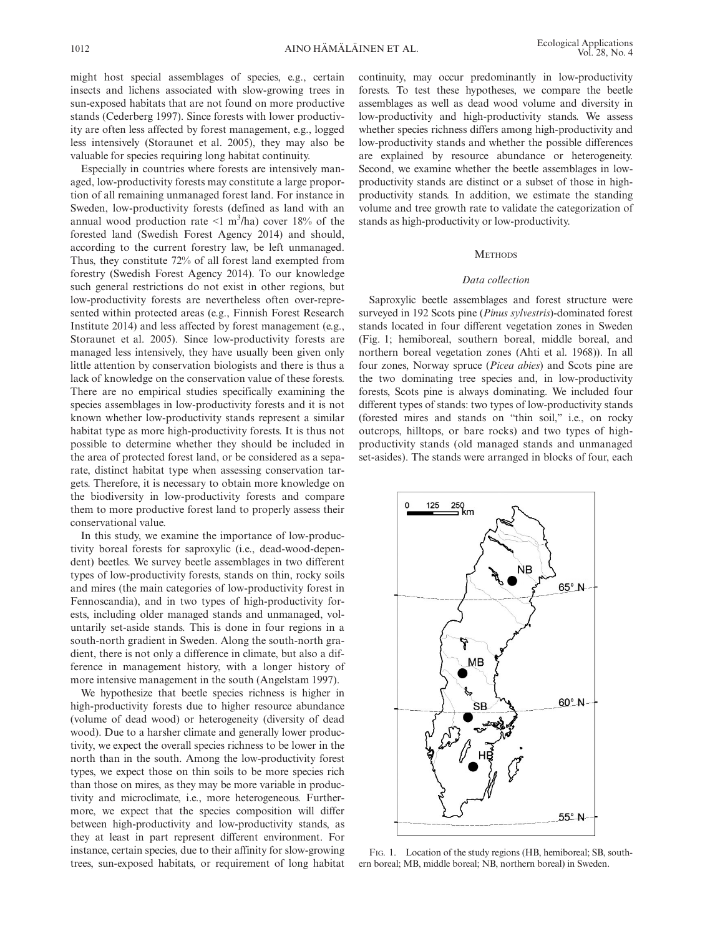1012 **AINO HAMÄLÄINEN ET AL.** Ecological Applications Ecological Applications Vol. 28, No. 4

might host special assemblages of species, e.g., certain insects and lichens associated with slow-growing trees in sun-exposed habitats that are not found on more productive stands (Cederberg 1997). Since forests with lower productivity are often less affected by forest management, e.g., logged less intensively (Storaunet et al. 2005), they may also be valuable for species requiring long habitat continuity.

Especially in countries where forests are intensively managed, low-productivity forests may constitute a large proportion of all remaining unmanaged forest land. For instance in Sweden, low-productivity forests (defined as land with an annual wood production rate  $\leq 1 \text{ m}^3/\text{ha}$  cover 18% of the forested land (Swedish Forest Agency 2014) and should, according to the current forestry law, be left unmanaged. Thus, they constitute 72% of all forest land exempted from forestry (Swedish Forest Agency 2014). To our knowledge such general restrictions do not exist in other regions, but low-productivity forests are nevertheless often over-represented within protected areas (e.g., Finnish Forest Research Institute 2014) and less affected by forest management (e.g., Storaunet et al. 2005). Since low-productivity forests are managed less intensively, they have usually been given only little attention by conservation biologists and there is thus a lack of knowledge on the conservation value of these forests. There are no empirical studies specifically examining the species assemblages in low-productivity forests and it is not known whether low-productivity stands represent a similar habitat type as more high-productivity forests. It is thus not possible to determine whether they should be included in the area of protected forest land, or be considered as a separate, distinct habitat type when assessing conservation targets. Therefore, it is necessary to obtain more knowledge on the biodiversity in low-productivity forests and compare them to more productive forest land to properly assess their conservational value.

In this study, we examine the importance of low-productivity boreal forests for saproxylic (i.e., dead-wood-dependent) beetles. We survey beetle assemblages in two different types of low-productivity forests, stands on thin, rocky soils and mires (the main categories of low-productivity forest in Fennoscandia), and in two types of high-productivity forests, including older managed stands and unmanaged, voluntarily set-aside stands. This is done in four regions in a south-north gradient in Sweden. Along the south-north gradient, there is not only a difference in climate, but also a difference in management history, with a longer history of more intensive management in the south (Angelstam 1997).

We hypothesize that beetle species richness is higher in high-productivity forests due to higher resource abundance (volume of dead wood) or heterogeneity (diversity of dead wood). Due to a harsher climate and generally lower productivity, we expect the overall species richness to be lower in the north than in the south. Among the low-productivity forest types, we expect those on thin soils to be more species rich than those on mires, as they may be more variable in productivity and microclimate, i.e., more heterogeneous. Furthermore, we expect that the species composition will differ between high-productivity and low-productivity stands, as they at least in part represent different environment. For instance, certain species, due to their affinity for slow-growing trees, sun-exposed habitats, or requirement of long habitat continuity, may occur predominantly in low-productivity forests. To test these hypotheses, we compare the beetle assemblages as well as dead wood volume and diversity in low-productivity and high-productivity stands. We assess whether species richness differs among high-productivity and low-productivity stands and whether the possible differences are explained by resource abundance or heterogeneity. Second, we examine whether the beetle assemblages in lowproductivity stands are distinct or a subset of those in highproductivity stands. In addition, we estimate the standing volume and tree growth rate to validate the categorization of stands as high-productivity or low-productivity.

# **METHODS**

# Data collection

Saproxylic beetle assemblages and forest structure were surveyed in 192 Scots pine (Pinus sylvestris)-dominated forest stands located in four different vegetation zones in Sweden (Fig. 1; hemiboreal, southern boreal, middle boreal, and northern boreal vegetation zones (Ahti et al. 1968)). In all four zones, Norway spruce (Picea abies) and Scots pine are the two dominating tree species and, in low-productivity forests, Scots pine is always dominating. We included four different types of stands: two types of low-productivity stands (forested mires and stands on "thin soil," i.e., on rocky outcrops, hilltops, or bare rocks) and two types of highproductivity stands (old managed stands and unmanaged set-asides). The stands were arranged in blocks of four, each



FIG. 1. Location of the study regions (HB, hemiboreal; SB, southern boreal; MB, middle boreal; NB, northern boreal) in Sweden.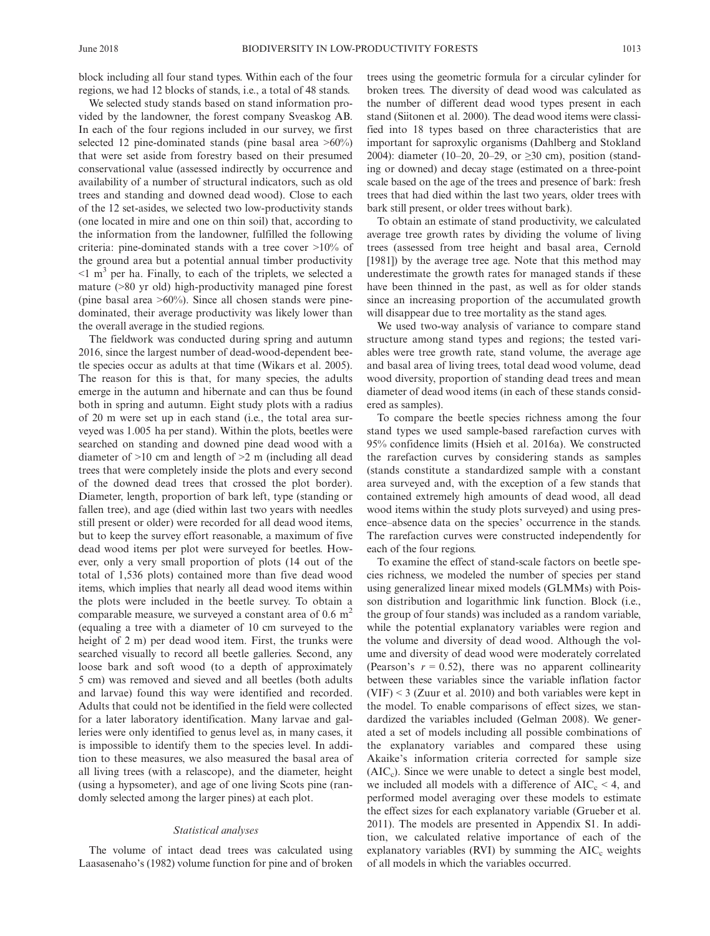block including all four stand types. Within each of the four regions, we had 12 blocks of stands, i.e., a total of 48 stands.

We selected study stands based on stand information provided by the landowner, the forest company Sveaskog AB. In each of the four regions included in our survey, we first selected 12 pine-dominated stands (pine basal area >60%) that were set aside from forestry based on their presumed conservational value (assessed indirectly by occurrence and availability of a number of structural indicators, such as old trees and standing and downed dead wood). Close to each of the 12 set-asides, we selected two low-productivity stands (one located in mire and one on thin soil) that, according to the information from the landowner, fulfilled the following criteria: pine-dominated stands with a tree cover >10% of the ground area but a potential annual timber productivity  $\leq 1$  m<sup>3</sup> per ha. Finally, to each of the triplets, we selected a mature (>80 yr old) high-productivity managed pine forest (pine basal area >60%). Since all chosen stands were pinedominated, their average productivity was likely lower than the overall average in the studied regions.

The fieldwork was conducted during spring and autumn 2016, since the largest number of dead-wood-dependent beetle species occur as adults at that time (Wikars et al. 2005). The reason for this is that, for many species, the adults emerge in the autumn and hibernate and can thus be found both in spring and autumn. Eight study plots with a radius of 20 m were set up in each stand (i.e., the total area surveyed was 1.005 ha per stand). Within the plots, beetles were searched on standing and downed pine dead wood with a diameter of >10 cm and length of >2 m (including all dead trees that were completely inside the plots and every second of the downed dead trees that crossed the plot border). Diameter, length, proportion of bark left, type (standing or fallen tree), and age (died within last two years with needles still present or older) were recorded for all dead wood items, but to keep the survey effort reasonable, a maximum of five dead wood items per plot were surveyed for beetles. However, only a very small proportion of plots (14 out of the total of 1,536 plots) contained more than five dead wood items, which implies that nearly all dead wood items within the plots were included in the beetle survey. To obtain a comparable measure, we surveyed a constant area of  $0.6 \text{ m}^2$ (equaling a tree with a diameter of 10 cm surveyed to the height of 2 m) per dead wood item. First, the trunks were searched visually to record all beetle galleries. Second, any loose bark and soft wood (to a depth of approximately 5 cm) was removed and sieved and all beetles (both adults and larvae) found this way were identified and recorded. Adults that could not be identified in the field were collected for a later laboratory identification. Many larvae and galleries were only identified to genus level as, in many cases, it is impossible to identify them to the species level. In addition to these measures, we also measured the basal area of all living trees (with a relascope), and the diameter, height (using a hypsometer), and age of one living Scots pine (randomly selected among the larger pines) at each plot.

## Statistical analyses

The volume of intact dead trees was calculated using Laasasenaho's (1982) volume function for pine and of broken trees using the geometric formula for a circular cylinder for broken trees. The diversity of dead wood was calculated as the number of different dead wood types present in each stand (Siitonen et al. 2000). The dead wood items were classified into 18 types based on three characteristics that are important for saproxylic organisms (Dahlberg and Stokland 2004): diameter (10–20, 20–29, or ≥30 cm), position (standing or downed) and decay stage (estimated on a three-point scale based on the age of the trees and presence of bark: fresh trees that had died within the last two years, older trees with bark still present, or older trees without bark).

To obtain an estimate of stand productivity, we calculated average tree growth rates by dividing the volume of living trees (assessed from tree height and basal area, Cernold [1981]) by the average tree age. Note that this method may underestimate the growth rates for managed stands if these have been thinned in the past, as well as for older stands since an increasing proportion of the accumulated growth will disappear due to tree mortality as the stand ages.

We used two-way analysis of variance to compare stand structure among stand types and regions; the tested variables were tree growth rate, stand volume, the average age and basal area of living trees, total dead wood volume, dead wood diversity, proportion of standing dead trees and mean diameter of dead wood items (in each of these stands considered as samples).

To compare the beetle species richness among the four stand types we used sample-based rarefaction curves with 95% confidence limits (Hsieh et al. 2016a). We constructed the rarefaction curves by considering stands as samples (stands constitute a standardized sample with a constant area surveyed and, with the exception of a few stands that contained extremely high amounts of dead wood, all dead wood items within the study plots surveyed) and using presence–absence data on the species' occurrence in the stands. The rarefaction curves were constructed independently for each of the four regions.

To examine the effect of stand-scale factors on beetle species richness, we modeled the number of species per stand using generalized linear mixed models (GLMMs) with Poisson distribution and logarithmic link function. Block (i.e., the group of four stands) was included as a random variable, while the potential explanatory variables were region and the volume and diversity of dead wood. Although the volume and diversity of dead wood were moderately correlated (Pearson's  $r = 0.52$ ), there was no apparent collinearity between these variables since the variable inflation factor (VIF) < 3 (Zuur et al. 2010) and both variables were kept in the model. To enable comparisons of effect sizes, we standardized the variables included (Gelman 2008). We generated a set of models including all possible combinations of the explanatory variables and compared these using Akaike's information criteria corrected for sample size  $(AIC<sub>c</sub>)$ . Since we were unable to detect a single best model, we included all models with a difference of  $AIC_c < 4$ , and performed model averaging over these models to estimate the effect sizes for each explanatory variable (Grueber et al. 2011). The models are presented in Appendix S1. In addition, we calculated relative importance of each of the explanatory variables (RVI) by summing the  $AIC_c$  weights of all models in which the variables occurred.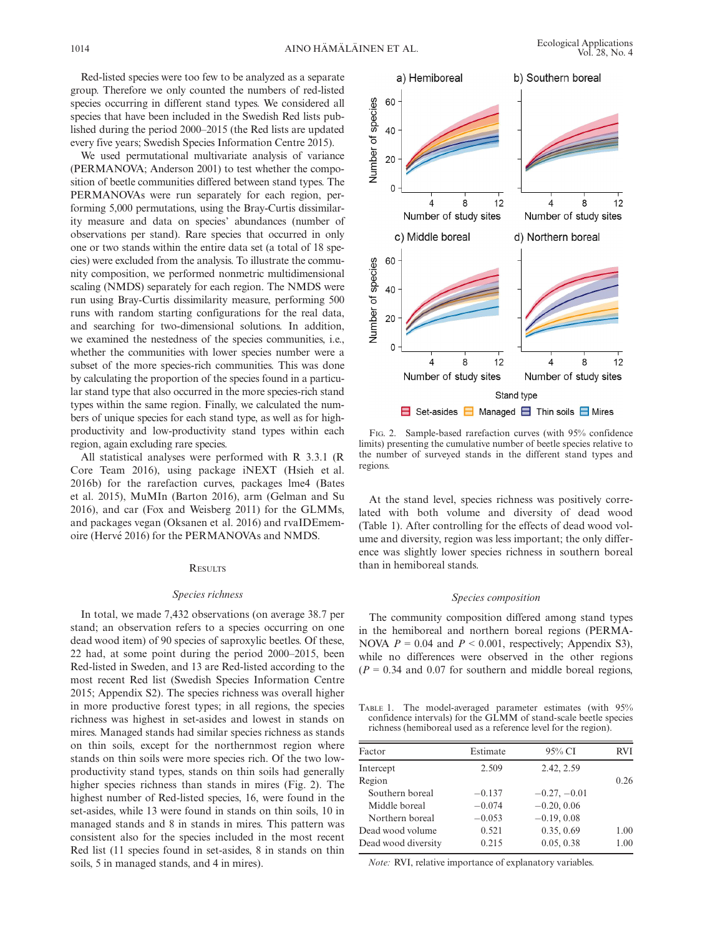Red-listed species were too few to be analyzed as a separate group. Therefore we only counted the numbers of red-listed species occurring in different stand types. We considered all species that have been included in the Swedish Red lists published during the period 2000–2015 (the Red lists are updated every five years; Swedish Species Information Centre 2015).

We used permutational multivariate analysis of variance (PERMANOVA; Anderson 2001) to test whether the composition of beetle communities differed between stand types. The PERMANOVAs were run separately for each region, performing 5,000 permutations, using the Bray-Curtis dissimilarity measure and data on species' abundances (number of observations per stand). Rare species that occurred in only one or two stands within the entire data set (a total of 18 species) were excluded from the analysis. To illustrate the community composition, we performed nonmetric multidimensional scaling (NMDS) separately for each region. The NMDS were run using Bray-Curtis dissimilarity measure, performing 500 runs with random starting configurations for the real data, and searching for two-dimensional solutions. In addition, we examined the nestedness of the species communities, i.e., whether the communities with lower species number were a subset of the more species-rich communities. This was done by calculating the proportion of the species found in a particular stand type that also occurred in the more species-rich stand types within the same region. Finally, we calculated the numbers of unique species for each stand type, as well as for highproductivity and low-productivity stand types within each region, again excluding rare species.

All statistical analyses were performed with R 3.3.1 (R Core Team 2016), using package iNEXT (Hsieh et al. 2016b) for the rarefaction curves, packages lme4 (Bates et al. 2015), MuMIn (Barton 2016), arm (Gelman and Su 2016), and car (Fox and Weisberg 2011) for the GLMMs, and packages vegan (Oksanen et al. 2016) and rvaIDEmemoire (Hervé 2016) for the PERMANOVAs and NMDS.

#### **RESULTS**

## Species richness

In total, we made 7,432 observations (on average 38.7 per stand; an observation refers to a species occurring on one dead wood item) of 90 species of saproxylic beetles. Of these, 22 had, at some point during the period 2000–2015, been Red-listed in Sweden, and 13 are Red-listed according to the most recent Red list (Swedish Species Information Centre 2015; Appendix S2). The species richness was overall higher in more productive forest types; in all regions, the species richness was highest in set-asides and lowest in stands on mires. Managed stands had similar species richness as stands on thin soils, except for the northernmost region where stands on thin soils were more species rich. Of the two lowproductivity stand types, stands on thin soils had generally higher species richness than stands in mires (Fig. 2). The highest number of Red-listed species, 16, were found in the set-asides, while 13 were found in stands on thin soils, 10 in managed stands and 8 in stands in mires. This pattern was consistent also for the species included in the most recent Red list (11 species found in set-asides, 8 in stands on thin soils, 5 in managed stands, and 4 in mires).



FIG. 2. Sample-based rarefaction curves (with 95% confidence limits) presenting the cumulative number of beetle species relative to the number of surveyed stands in the different stand types and regions.

At the stand level, species richness was positively correlated with both volume and diversity of dead wood (Table 1). After controlling for the effects of dead wood volume and diversity, region was less important; the only difference was slightly lower species richness in southern boreal than in hemiboreal stands.

## Species composition

The community composition differed among stand types in the hemiboreal and northern boreal regions (PERMA-NOVA  $P = 0.04$  and  $P \le 0.001$ , respectively; Appendix S3), while no differences were observed in the other regions  $(P = 0.34$  and 0.07 for southern and middle boreal regions,

TABLE 1. The model-averaged parameter estimates (with 95% confidence intervals) for the GLMM of stand-scale beetle species richness (hemiboreal used as a reference level for the region).

| Factor              | Estimate | 95% CI         | RVI  |
|---------------------|----------|----------------|------|
| Intercept           | 2.509    | 2.42, 2.59     |      |
| Region              |          |                | 0.26 |
| Southern boreal     | $-0.137$ | $-0.27, -0.01$ |      |
| Middle boreal       | $-0.074$ | $-0.20, 0.06$  |      |
| Northern boreal     | $-0.053$ | $-0.19, 0.08$  |      |
| Dead wood volume    | 0.521    | 0.35, 0.69     | 1.00 |
| Dead wood diversity | 0.215    | 0.05, 0.38     | 1.00 |

Note: RVI, relative importance of explanatory variables.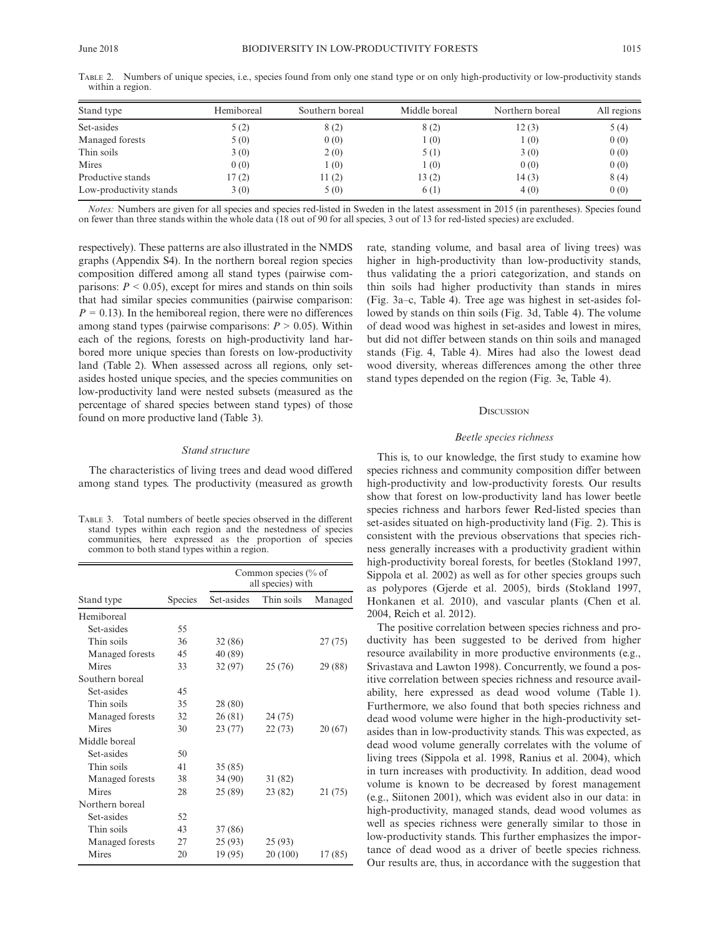| Stand type              | Hemiboreal | Southern boreal | Middle boreal | Northern boreal | All regions |
|-------------------------|------------|-----------------|---------------|-----------------|-------------|
| Set-asides              | 5(2)       | 8(2)            | 8(2)          | 12(3)           | 5(4)        |
| Managed forests         | 5(0)       | 0(0)            | 1(0)          | 1(0)            | 0(0)        |
| Thin soils              | 3(0)       | 2(0)            | 5(1)          | 3(0)            | 0(0)        |
| Mires                   | 0(0)       | 1(0)            | 1(0)          | 0(0)            | 0(0)        |
| Productive stands       | 17(2)      | 11(2)           | 13(2)         | 14(3)           | 8(4)        |
| Low-productivity stands | 3(0)       | 5(0)            | 6(1)          | 4(0)            | 0(0)        |

TABLE 2. Numbers of unique species, i.e., species found from only one stand type or on only high-productivity or low-productivity stands within a region.

Notes: Numbers are given for all species and species red-listed in Sweden in the latest assessment in 2015 (in parentheses). Species found on fewer than three stands within the whole data (18 out of 90 for all species, 3 out of 13 for red-listed species) are excluded.

respectively). These patterns are also illustrated in the NMDS graphs (Appendix S4). In the northern boreal region species composition differed among all stand types (pairwise comparisons:  $P < 0.05$ ), except for mires and stands on thin soils that had similar species communities (pairwise comparison:  $P = 0.13$ ). In the hemiboreal region, there were no differences among stand types (pairwise comparisons:  $P > 0.05$ ). Within each of the regions, forests on high-productivity land harbored more unique species than forests on low-productivity land (Table 2). When assessed across all regions, only setasides hosted unique species, and the species communities on low-productivity land were nested subsets (measured as the percentage of shared species between stand types) of those found on more productive land (Table 3).

## Stand structure

The characteristics of living trees and dead wood differed among stand types. The productivity (measured as growth

TABLE 3. Total numbers of beetle species observed in the different stand types within each region and the nestedness of species communities, here expressed as the proportion of species common to both stand types within a region.

|                 |         | Common species (% of<br>all species) with |            |         |
|-----------------|---------|-------------------------------------------|------------|---------|
| Stand type      | Species | Set-asides                                | Thin soils | Managed |
| Hemiboreal      |         |                                           |            |         |
| Set-asides      | 55      |                                           |            |         |
| Thin soils      | 36      | 32 (86)                                   |            | 27(75)  |
| Managed forests | 45      | 40 (89)                                   |            |         |
| <b>Mires</b>    | 33      | 32(97)                                    | 25(76)     | 29 (88) |
| Southern boreal |         |                                           |            |         |
| Set-asides      | 45      |                                           |            |         |
| Thin soils      | 35      | 28 (80)                                   |            |         |
| Managed forests | 32      | 26(81)                                    | 24 (75)    |         |
| <b>Mires</b>    | 30      | 23(77)                                    | 22(73)     | 20(67)  |
| Middle boreal   |         |                                           |            |         |
| Set-asides      | 50      |                                           |            |         |
| Thin soils      | 41      | 35(85)                                    |            |         |
| Managed forests | 38      | 34(90)                                    | 31 (82)    |         |
| <b>Mires</b>    | 28      | 25 (89)                                   | 23 (82)    | 21 (75) |
| Northern boreal |         |                                           |            |         |
| Set-asides      | 52      |                                           |            |         |
| Thin soils      | 43      | 37 (86)                                   |            |         |
| Managed forests | 27      | 25(93)                                    | 25 (93)    |         |
| Mires           | 20      | 19(95)                                    | 20 (100)   | 17(85)  |

rate, standing volume, and basal area of living trees) was higher in high-productivity than low-productivity stands, thus validating the a priori categorization, and stands on thin soils had higher productivity than stands in mires (Fig. 3a–c, Table 4). Tree age was highest in set-asides followed by stands on thin soils (Fig. 3d, Table 4). The volume of dead wood was highest in set-asides and lowest in mires, but did not differ between stands on thin soils and managed stands (Fig. 4, Table 4). Mires had also the lowest dead wood diversity, whereas differences among the other three stand types depended on the region (Fig. 3e, Table 4).

## **DISCUSSION**

## Beetle species richness

This is, to our knowledge, the first study to examine how species richness and community composition differ between high-productivity and low-productivity forests. Our results show that forest on low-productivity land has lower beetle species richness and harbors fewer Red-listed species than set-asides situated on high-productivity land (Fig. 2). This is consistent with the previous observations that species richness generally increases with a productivity gradient within high-productivity boreal forests, for beetles (Stokland 1997, Sippola et al. 2002) as well as for other species groups such as polypores (Gjerde et al. 2005), birds (Stokland 1997, Honkanen et al. 2010), and vascular plants (Chen et al. 2004, Reich et al. 2012).

The positive correlation between species richness and productivity has been suggested to be derived from higher resource availability in more productive environments (e.g., Srivastava and Lawton 1998). Concurrently, we found a positive correlation between species richness and resource availability, here expressed as dead wood volume (Table 1). Furthermore, we also found that both species richness and dead wood volume were higher in the high-productivity setasides than in low-productivity stands. This was expected, as dead wood volume generally correlates with the volume of living trees (Sippola et al. 1998, Ranius et al. 2004), which in turn increases with productivity. In addition, dead wood volume is known to be decreased by forest management (e.g., Siitonen 2001), which was evident also in our data: in high-productivity, managed stands, dead wood volumes as well as species richness were generally similar to those in low-productivity stands. This further emphasizes the importance of dead wood as a driver of beetle species richness. Our results are, thus, in accordance with the suggestion that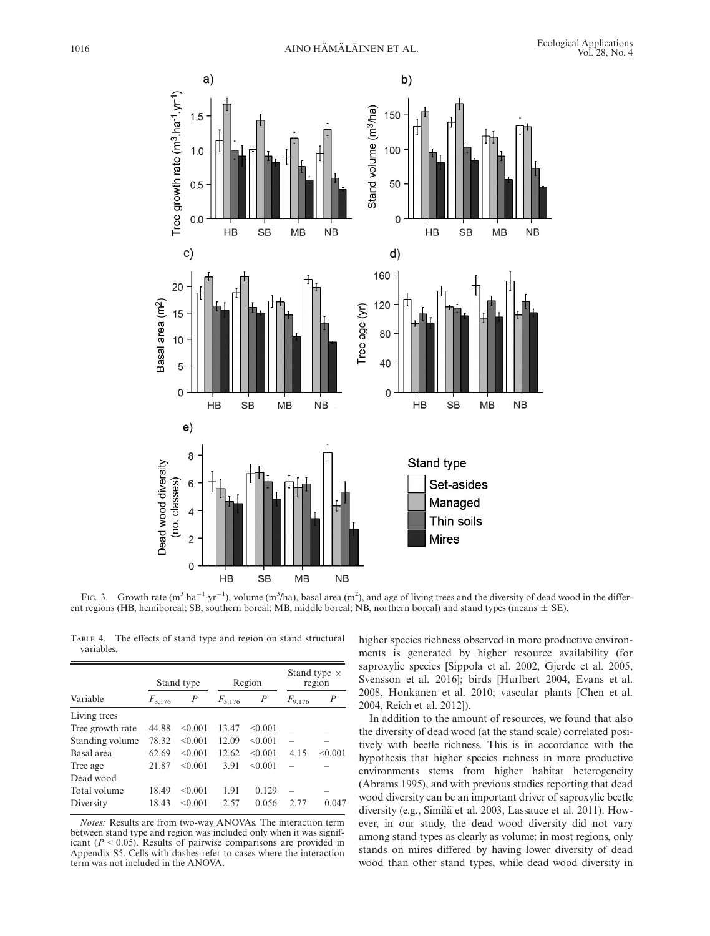

FIG. 3. Growth rate  $(m^3 \cdot ha^{-1} \cdot yr^{-1})$ , volume  $(m^3/ha)$ , basal area  $(m^2)$ , and age of living trees and the diversity of dead wood in the different regions (HB, hemiboreal; SB, southern boreal; MB, middle boreal; NB, northern boreal) and stand types (means  $\pm$  SE).

TABLE 4. The effects of stand type and region on stand structural variables.

|                  | Stand type  |                  | Region      |                  | Stand type $\times$<br>region |                          |
|------------------|-------------|------------------|-------------|------------------|-------------------------------|--------------------------|
| Variable         | $F_{3,176}$ | $\boldsymbol{P}$ | $F_{3,176}$ | $\boldsymbol{P}$ | $F_{9,176}$                   | P                        |
| Living trees     |             |                  |             |                  |                               |                          |
| Tree growth rate | 44.88       | < 0.001          | 13.47       | < 0.001          |                               |                          |
| Standing volume  | 78.32       | < 0.001          | 12.09       | < 0.001          |                               |                          |
| Basal area       | 62.69       | < 0.001          | 12.62       | < 0.001          | 4.15                          | < 0.001                  |
| Tree age         | 21.87       | < 0.001          | 3.91        | < 0.001          |                               |                          |
| Dead wood        |             |                  |             |                  |                               |                          |
| Total volume     | 18.49       | < 0.001          | 1.91        | 0.129            |                               | $\overline{\phantom{a}}$ |
| Diversity        | 18.43       | < 0.001          | 2.57        | 0.056            | 2.77                          | 0.047                    |

Notes: Results are from two-way ANOVAs. The interaction term between stand type and region was included only when it was significant  $(P < 0.05)$ . Results of pairwise comparisons are provided in Appendix S5. Cells with dashes refer to cases where the interaction term was not included in the ANOVA.

higher species richness observed in more productive environments is generated by higher resource availability (for saproxylic species [Sippola et al. 2002, Gjerde et al. 2005, Svensson et al. 2016]; birds [Hurlbert 2004, Evans et al. 2008, Honkanen et al. 2010; vascular plants [Chen et al. 2004, Reich et al. 2012]).

In addition to the amount of resources, we found that also the diversity of dead wood (at the stand scale) correlated positively with beetle richness. This is in accordance with the hypothesis that higher species richness in more productive environments stems from higher habitat heterogeneity (Abrams 1995), and with previous studies reporting that dead wood diversity can be an important driver of saproxylic beetle diversity (e.g., Similä et al. 2003, Lassauce et al. 2011). However, in our study, the dead wood diversity did not vary among stand types as clearly as volume: in most regions, only stands on mires differed by having lower diversity of dead wood than other stand types, while dead wood diversity in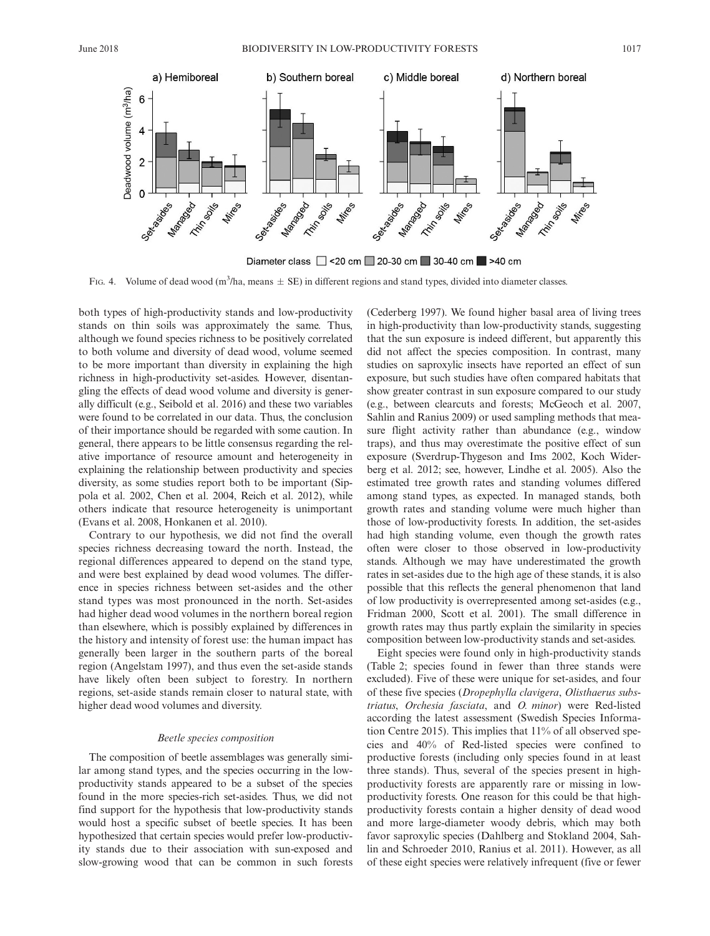

Diameter class □ <20 cm □ 20-30 cm ■ 30-40 cm ■ >40 cm

FIG. 4. Volume of dead wood  $(m^3/ha, means \pm SE)$  in different regions and stand types, divided into diameter classes.

both types of high-productivity stands and low-productivity stands on thin soils was approximately the same. Thus, although we found species richness to be positively correlated to both volume and diversity of dead wood, volume seemed to be more important than diversity in explaining the high richness in high-productivity set-asides. However, disentangling the effects of dead wood volume and diversity is generally difficult (e.g., Seibold et al. 2016) and these two variables were found to be correlated in our data. Thus, the conclusion of their importance should be regarded with some caution. In general, there appears to be little consensus regarding the relative importance of resource amount and heterogeneity in explaining the relationship between productivity and species diversity, as some studies report both to be important (Sippola et al. 2002, Chen et al. 2004, Reich et al. 2012), while others indicate that resource heterogeneity is unimportant (Evans et al. 2008, Honkanen et al. 2010).

Contrary to our hypothesis, we did not find the overall species richness decreasing toward the north. Instead, the regional differences appeared to depend on the stand type, and were best explained by dead wood volumes. The difference in species richness between set-asides and the other stand types was most pronounced in the north. Set-asides had higher dead wood volumes in the northern boreal region than elsewhere, which is possibly explained by differences in the history and intensity of forest use: the human impact has generally been larger in the southern parts of the boreal region (Angelstam 1997), and thus even the set-aside stands have likely often been subject to forestry. In northern regions, set-aside stands remain closer to natural state, with higher dead wood volumes and diversity.

## Beetle species composition

The composition of beetle assemblages was generally similar among stand types, and the species occurring in the lowproductivity stands appeared to be a subset of the species found in the more species-rich set-asides. Thus, we did not find support for the hypothesis that low-productivity stands would host a specific subset of beetle species. It has been hypothesized that certain species would prefer low-productivity stands due to their association with sun-exposed and slow-growing wood that can be common in such forests

(Cederberg 1997). We found higher basal area of living trees in high-productivity than low-productivity stands, suggesting that the sun exposure is indeed different, but apparently this did not affect the species composition. In contrast, many studies on saproxylic insects have reported an effect of sun exposure, but such studies have often compared habitats that show greater contrast in sun exposure compared to our study (e.g., between clearcuts and forests; McGeoch et al. 2007, Sahlin and Ranius 2009) or used sampling methods that measure flight activity rather than abundance (e.g., window traps), and thus may overestimate the positive effect of sun exposure (Sverdrup-Thygeson and Ims 2002, Koch Widerberg et al. 2012; see, however, Lindhe et al. 2005). Also the estimated tree growth rates and standing volumes differed among stand types, as expected. In managed stands, both growth rates and standing volume were much higher than those of low-productivity forests. In addition, the set-asides had high standing volume, even though the growth rates often were closer to those observed in low-productivity stands. Although we may have underestimated the growth rates in set-asides due to the high age of these stands, it is also possible that this reflects the general phenomenon that land of low productivity is overrepresented among set-asides (e.g., Fridman 2000, Scott et al. 2001). The small difference in growth rates may thus partly explain the similarity in species composition between low-productivity stands and set-asides.

Eight species were found only in high-productivity stands (Table 2; species found in fewer than three stands were excluded). Five of these were unique for set-asides, and four of these five species (Dropephylla clavigera, Olisthaerus substriatus, Orchesia fasciata, and O. minor) were Red-listed according the latest assessment (Swedish Species Information Centre 2015). This implies that 11% of all observed species and 40% of Red-listed species were confined to productive forests (including only species found in at least three stands). Thus, several of the species present in highproductivity forests are apparently rare or missing in lowproductivity forests. One reason for this could be that highproductivity forests contain a higher density of dead wood and more large-diameter woody debris, which may both favor saproxylic species (Dahlberg and Stokland 2004, Sahlin and Schroeder 2010, Ranius et al. 2011). However, as all of these eight species were relatively infrequent (five or fewer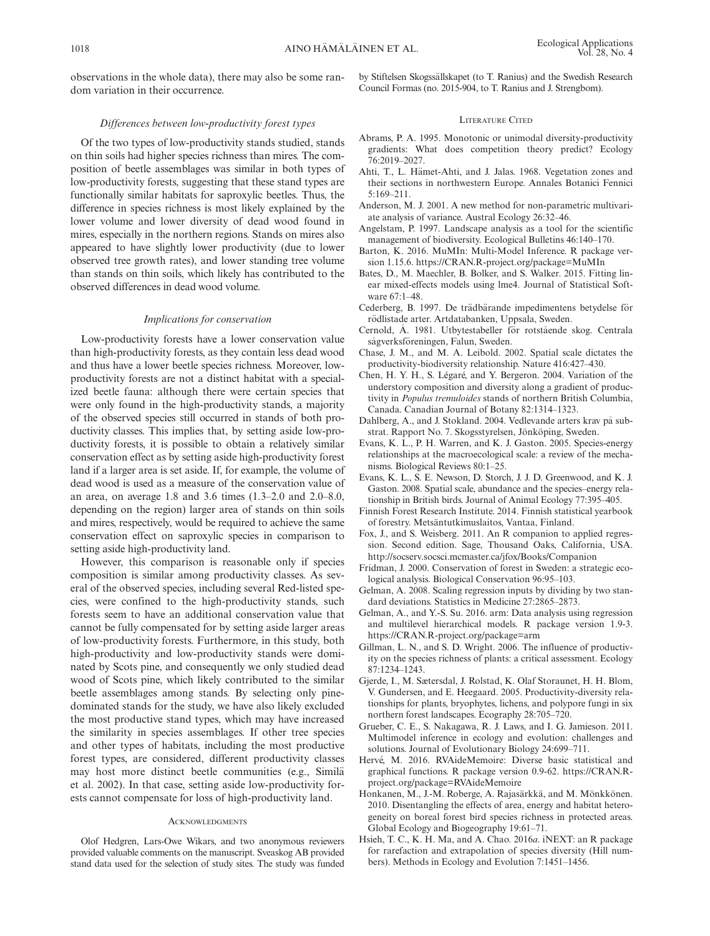observations in the whole data), there may also be some random variation in their occurrence.

## Differences between low-productivity forest types

Of the two types of low-productivity stands studied, stands on thin soils had higher species richness than mires. The composition of beetle assemblages was similar in both types of low-productivity forests, suggesting that these stand types are functionally similar habitats for saproxylic beetles. Thus, the difference in species richness is most likely explained by the lower volume and lower diversity of dead wood found in mires, especially in the northern regions. Stands on mires also appeared to have slightly lower productivity (due to lower observed tree growth rates), and lower standing tree volume than stands on thin soils, which likely has contributed to the observed differences in dead wood volume.

# Implications for conservation

Low-productivity forests have a lower conservation value than high-productivity forests, as they contain less dead wood and thus have a lower beetle species richness. Moreover, lowproductivity forests are not a distinct habitat with a specialized beetle fauna: although there were certain species that were only found in the high-productivity stands, a majority of the observed species still occurred in stands of both productivity classes. This implies that, by setting aside low-productivity forests, it is possible to obtain a relatively similar conservation effect as by setting aside high-productivity forest land if a larger area is set aside. If, for example, the volume of dead wood is used as a measure of the conservation value of an area, on average 1.8 and 3.6 times (1.3–2.0 and 2.0–8.0, depending on the region) larger area of stands on thin soils and mires, respectively, would be required to achieve the same conservation effect on saproxylic species in comparison to setting aside high-productivity land.

However, this comparison is reasonable only if species composition is similar among productivity classes. As several of the observed species, including several Red-listed species, were confined to the high-productivity stands, such forests seem to have an additional conservation value that cannot be fully compensated for by setting aside larger areas of low-productivity forests. Furthermore, in this study, both high-productivity and low-productivity stands were dominated by Scots pine, and consequently we only studied dead wood of Scots pine, which likely contributed to the similar beetle assemblages among stands. By selecting only pinedominated stands for the study, we have also likely excluded the most productive stand types, which may have increased the similarity in species assemblages. If other tree species and other types of habitats, including the most productive forest types, are considered, different productivity classes may host more distinct beetle communities (e.g., Similä et al. 2002). In that case, setting aside low-productivity forests cannot compensate for loss of high-productivity land.

#### **ACKNOWLEDGMENTS**

Olof Hedgren, Lars-Owe Wikars, and two anonymous reviewers provided valuable comments on the manuscript. Sveaskog AB provided stand data used for the selection of study sites. The study was funded by Stiftelsen Skogssällskapet (to T. Ranius) and the Swedish Research Council Formas (no. 2015-904, to T. Ranius and J. Strengbom).

## LITERATURE CITED

- Abrams, P. A. 1995. Monotonic or unimodal diversity-productivity gradients: What does competition theory predict? Ecology 76:2019–2027.
- Ahti, T., L. Hämet-Ahti, and J. Jalas. 1968. Vegetation zones and their sections in northwestern Europe. Annales Botanici Fennici 5:169–211.
- Anderson, M. J. 2001. A new method for non-parametric multivariate analysis of variance. Austral Ecology 26:32–46.
- Angelstam, P. 1997. Landscape analysis as a tool for the scientific management of biodiversity. Ecological Bulletins 46:140–170.
- Barton, K. 2016. MuMIn: Multi-Model Inference. R package version 1.15.6.<https://CRAN.R-project.org/package=MuMIn>
- Bates, D., M. Maechler, B. Bolker, and S. Walker. 2015. Fitting linear mixed-effects models using lme4. Journal of Statistical Software 67:1–48.
- Cederberg, B. 1997. De trädbärande impedimentens betydelse för rödlistade arter. Artdatabanken, Uppsala, Sweden.
- Cernold, Å. 1981. Utbytestabeller för rotstående skog. Centrala sågverksföreningen, Falun, Sweden.
- Chase, J. M., and M. A. Leibold. 2002. Spatial scale dictates the productivity-biodiversity relationship. Nature 416:427–430.
- Chen, H. Y. H., S. Légaré, and Y. Bergeron. 2004. Variation of the understory composition and diversity along a gradient of productivity in Populus tremuloides stands of northern British Columbia, Canada. Canadian Journal of Botany 82:1314–1323.
- Dahlberg, A., and J. Stokland. 2004. Vedlevande arters krav på substrat. Rapport No. 7. Skogsstyrelsen, Jönköping, Sweden.
- Evans, K. L., P. H. Warren, and K. J. Gaston. 2005. Species-energy relationships at the macroecological scale: a review of the mechanisms. Biological Reviews 80:1–25.
- Evans, K. L., S. E. Newson, D. Storch, J. J. D. Greenwood, and K. J. Gaston. 2008. Spatial scale, abundance and the species–energy relationship in British birds. Journal of Animal Ecology 77:395–405.
- Finnish Forest Research Institute. 2014. Finnish statistical yearbook of forestry. Metsäntutkimuslaitos, Vantaa, Finland.
- Fox, J., and S. Weisberg. 2011. An R companion to applied regression. Second edition. Sage, Thousand Oaks, California, USA. <http://socserv.socsci.mcmaster.ca/jfox/Books/Companion>
- Fridman, J. 2000. Conservation of forest in Sweden: a strategic ecological analysis. Biological Conservation 96:95–103.
- Gelman, A. 2008. Scaling regression inputs by dividing by two standard deviations. Statistics in Medicine 27:2865–2873.
- Gelman, A., and Y.-S. Su. 2016. arm: Data analysis using regression and multilevel hierarchical models. R package version 1.9-3. <https://CRAN.R-project.org/package=arm>
- Gillman, L. N., and S. D. Wright. 2006. The influence of productivity on the species richness of plants: a critical assessment. Ecology 87:1234–1243.
- Gjerde, I., M. Sætersdal, J. Rolstad, K. Olaf Storaunet, H. H. Blom, V. Gundersen, and E. Heegaard. 2005. Productivity-diversity relationships for plants, bryophytes, lichens, and polypore fungi in six northern forest landscapes. Ecography 28:705–720.
- Grueber, C. E., S. Nakagawa, R. J. Laws, and I. G. Jamieson. 2011. Multimodel inference in ecology and evolution: challenges and solutions. Journal of Evolutionary Biology 24:699–711.
- Hervé, M. 2016. RVAideMemoire: Diverse basic statistical and graphical functions. R package version 0.9-62. [https://CRAN.R](https://CRAN.R-project.org/package=RVAideMemoire)[project.org/package=RVAideMemoire](https://CRAN.R-project.org/package=RVAideMemoire)
- Honkanen, M., J.-M. Roberge, A. Rajasärkkä, and M. Mönkkönen. 2010. Disentangling the effects of area, energy and habitat heterogeneity on boreal forest bird species richness in protected areas. Global Ecology and Biogeography 19:61–71.
- Hsieh, T. C., K. H. Ma, and A. Chao. 2016a. iNEXT: an R package for rarefaction and extrapolation of species diversity (Hill numbers). Methods in Ecology and Evolution 7:1451–1456.